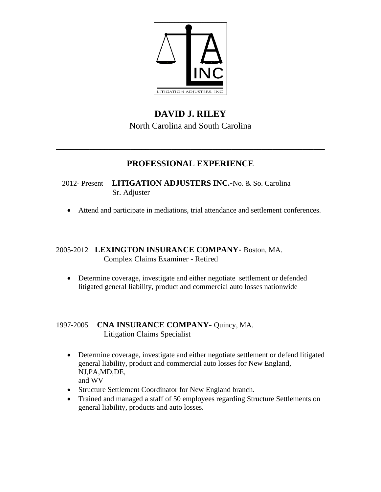

# **DAVID J. RILEY** North Carolina and South Carolina

## **PROFESSIONAL EXPERIENCE**

 $\_$  , and the set of the set of the set of the set of the set of the set of the set of the set of the set of the set of the set of the set of the set of the set of the set of the set of the set of the set of the set of th

### 2012- Present **LITIGATION ADJUSTERS INC.-**No. & So. Carolina Sr. Adjuster

• Attend and participate in mediations, trial attendance and settlement conferences.

### 2005-2012 **LEXINGTON INSURANCE COMPANY**- Boston, MA. Complex Claims Examiner - Retired

• Determine coverage, investigate and either negotiate settlement or defended litigated general liability, product and commercial auto losses nationwide

### 1997-2005 **CNA INSURANCE COMPANY-** Quincy, MA. Litigation Claims Specialist

- Determine coverage, investigate and either negotiate settlement or defend litigated general liability, product and commercial auto losses for New England, NJ,PA,MD,DE, and WV
- Structure Settlement Coordinator for New England branch.
- Trained and managed a staff of 50 employees regarding Structure Settlements on general liability, products and auto losses.